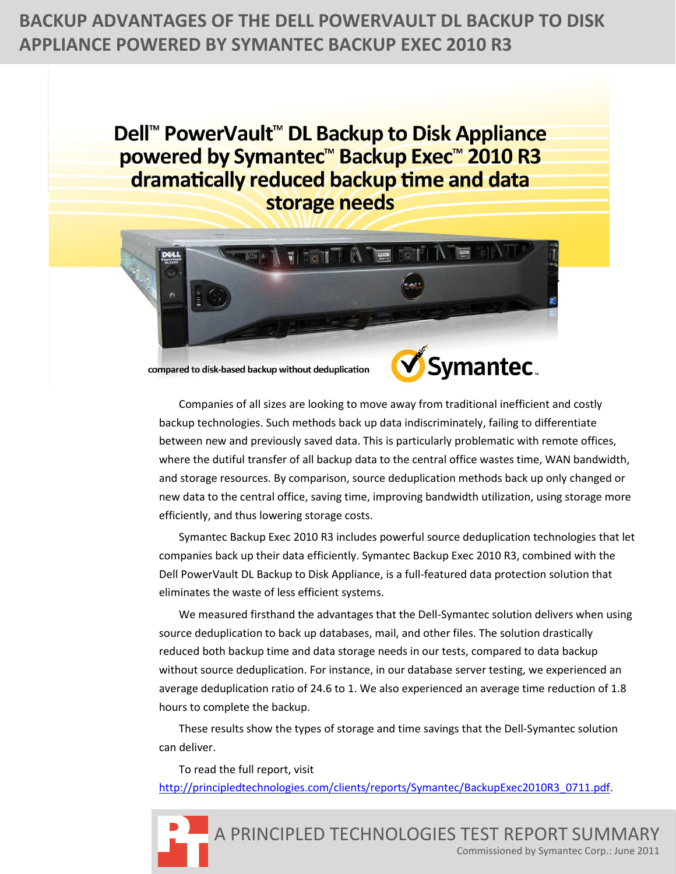# **BACKUP ADVANTAGES OF THE DELL POWERVAULT DL BACKUP TO DISK APPLIANCE POWERED BY SYMANTEC BACKUP EXEC 2010 R3**

Dell<sup>™</sup> PowerVault<sup>™</sup> DL Backup to Disk Appliance powered by Symantec<sup>™</sup> Backup Exec™ 2010 R3 dramatically reduced backup time and data storage needs



compared to disk-based backup without deduplication



Companies of all sizes are looking to move away from traditional inefficient and costly backup technologies. Such methods back up data indiscriminately, failing to differentiate between new and previously saved data. This is particularly problematic with remote offices, where the dutiful transfer of all backup data to the central office wastes time, WAN bandwidth, and storage resources. By comparison, source deduplication methods back up only changed or new data to the central office, saving time, improving bandwidth utilization, using storage more efficiently, and thus lowering storage costs.

Symantec Backup Exec 2010 R3 includes powerful source deduplication technologies that let companies back up their data efficiently. Symantec Backup Exec 2010 R3, combined with the Dell PowerVault DL Backup to Disk Appliance, is a full-featured data protection solution that eliminates the waste of less efficient systems.

We measured firsthand the advantages that the Dell-Symantec solution delivers when using source deduplication to back up databases, mail, and other files. The solution drastically reduced both backup time and data storage needs in our tests, compared to data backup without source deduplication. For instance, in our database server testing, we experienced an average deduplication ratio of 24.6 to 1. We also experienced an average time reduction of 1.8 hours to complete the backup.

These results show the types of storage and time savings that the Dell-Symantec solution can deliver.

To read the full report, visit [http://principledtechnologies.com/clients/reports/Symantec/BackupExec2010R3\\_0711.pdf.](http://principledtechnologies.com/clients/reports/Symantec/BackupExec2010R3_0711.pdf)

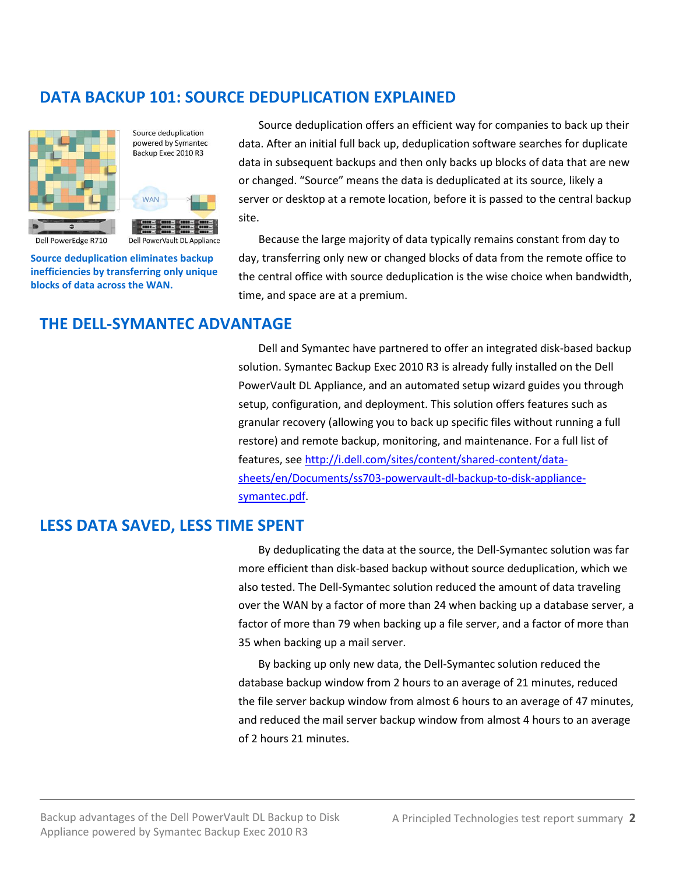# **DATA BACKUP 101: SOURCE DEDUPLICATION EXPLAINED**



Source deduplication powered by Symantec Backup Exec 2010 R3



Dell PowerVault DL Appliance

Dell PowerEdge R710

**Source deduplication eliminates backup inefficiencies by transferring only unique blocks of data across the WAN.**

Source deduplication offers an efficient way for companies to back up their data. After an initial full back up, deduplication software searches for duplicate data in subsequent backups and then only backs up blocks of data that are new or changed. "Source" means the data is deduplicated at its source, likely a server or desktop at a remote location, before it is passed to the central backup site.

Because the large majority of data typically remains constant from day to day, transferring only new or changed blocks of data from the remote office to the central office with source deduplication is the wise choice when bandwidth, time, and space are at a premium.

# **THE DELL-SYMANTEC ADVANTAGE**

Dell and Symantec have partnered to offer an integrated disk-based backup solution. Symantec Backup Exec 2010 R3 is already fully installed on the Dell PowerVault DL Appliance, and an automated setup wizard guides you through setup, configuration, and deployment. This solution offers features such as granular recovery (allowing you to back up specific files without running a full restore) and remote backup, monitoring, and maintenance. For a full list of features, see [http://i.dell.com/sites/content/shared-content/data](http://i.dell.com/sites/content/shared-content/data-sheets/en/Documents/ss703-powervault-dl-backup-to-disk-appliance-symantec.pdf)[sheets/en/Documents/ss703-powervault-dl-backup-to-disk-appliance](http://i.dell.com/sites/content/shared-content/data-sheets/en/Documents/ss703-powervault-dl-backup-to-disk-appliance-symantec.pdf)[symantec.pdf.](http://i.dell.com/sites/content/shared-content/data-sheets/en/Documents/ss703-powervault-dl-backup-to-disk-appliance-symantec.pdf)

# **LESS DATA SAVED, LESS TIME SPENT**

By deduplicating the data at the source, the Dell-Symantec solution was far more efficient than disk-based backup without source deduplication, which we also tested. The Dell-Symantec solution reduced the amount of data traveling over the WAN by a factor of more than 24 when backing up a database server, a factor of more than 79 when backing up a file server, and a factor of more than 35 when backing up a mail server.

By backing up only new data, the Dell-Symantec solution reduced the database backup window from 2 hours to an average of 21 minutes, reduced the file server backup window from almost 6 hours to an average of 47 minutes, and reduced the mail server backup window from almost 4 hours to an average of 2 hours 21 minutes.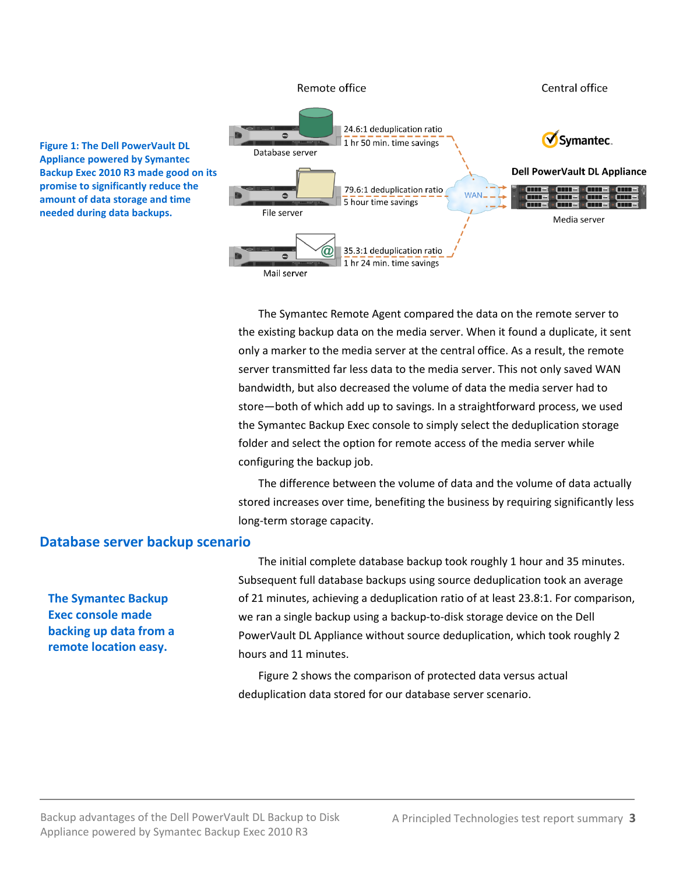

The Symantec Remote Agent compared the data on the remote server to the existing backup data on the media server. When it found a duplicate, it sent only a marker to the media server at the central office. As a result, the remote server transmitted far less data to the media server. This not only saved WAN bandwidth, but also decreased the volume of data the media server had to store—both of which add up to savings. In a straightforward process, we used the Symantec Backup Exec console to simply select the deduplication storage folder and select the option for remote access of the media server while configuring the backup job.

The difference between the volume of data and the volume of data actually stored increases over time, benefiting the business by requiring significantly less long-term storage capacity.

#### **Database server backup scenario**

**The Symantec Backup Exec console made backing up data from a remote location easy.**

The initial complete database backup took roughly 1 hour and 35 minutes. Subsequent full database backups using source deduplication took an average of 21 minutes, achieving a deduplication ratio of at least 23.8:1. For comparison, we ran a single backup using a backup-to-disk storage device on the Dell PowerVault DL Appliance without source deduplication, which took roughly 2 hours and 11 minutes.

Figure 2 shows the comparison of protected data versus actual deduplication data stored for our database server scenario.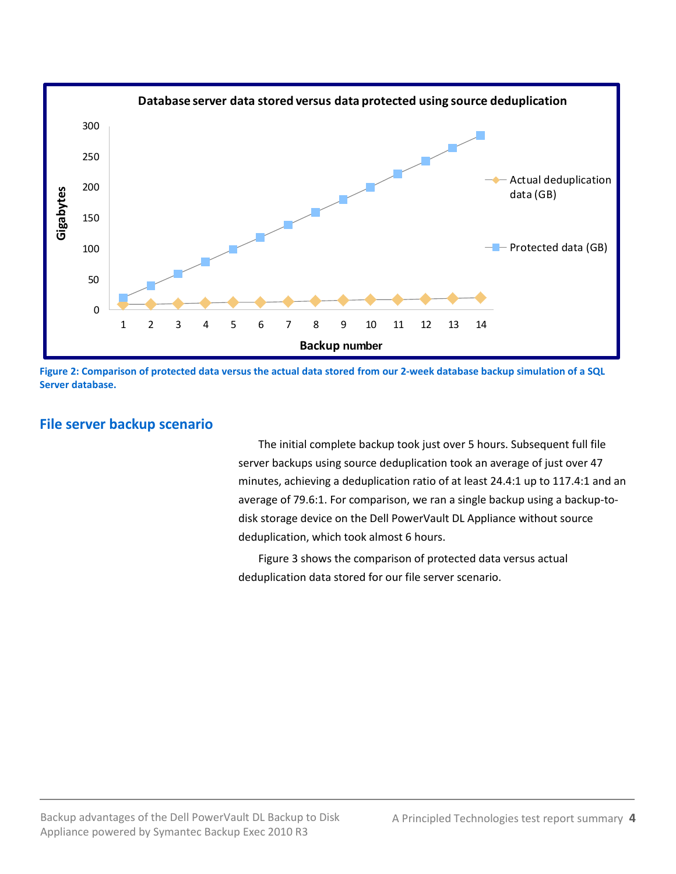

**Figure 2: Comparison of protected data versus the actual data stored from our 2-week database backup simulation of a SQL Server database.**

### **File server backup scenario**

The initial complete backup took just over 5 hours. Subsequent full file server backups using source deduplication took an average of just over 47 minutes, achieving a deduplication ratio of at least 24.4:1 up to 117.4:1 and an average of 79.6:1. For comparison, we ran a single backup using a backup-todisk storage device on the Dell PowerVault DL Appliance without source deduplication, which took almost 6 hours.

Figure 3 shows the comparison of protected data versus actual deduplication data stored for our file server scenario.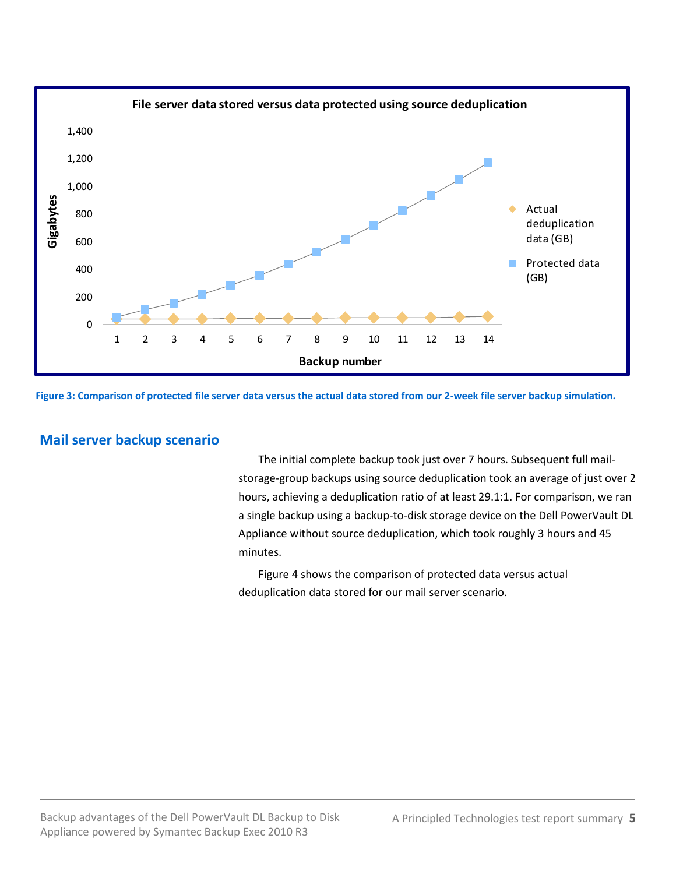

**Figure 3: Comparison of protected file server data versus the actual data stored from our 2-week file server backup simulation.**

## **Mail server backup scenario**

The initial complete backup took just over 7 hours. Subsequent full mailstorage-group backups using source deduplication took an average of just over 2 hours, achieving a deduplication ratio of at least 29.1:1. For comparison, we ran a single backup using a backup-to-disk storage device on the Dell PowerVault DL Appliance without source deduplication, which took roughly 3 hours and 45 minutes.

Figure 4 shows the comparison of protected data versus actual deduplication data stored for our mail server scenario.